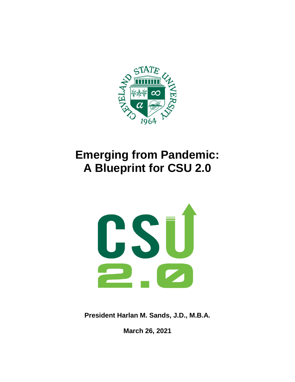

# **Emerging from Pandemic: A Blueprint for CSU 2.0**



**President Harlan M. Sands, J.D., M.B.A.** 

**March 26, 2021**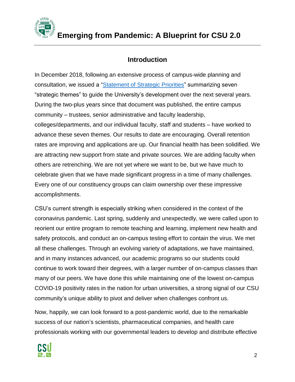

# **Introduction**

In December 2018, following an extensive process of campus-wide planning and consultation, we issued a ["Statement of Strategic](https://www.csuohio.edu/president/strategic-priorities) Priorities" summarizing seven "strategic themes" to guide the University's development over the next several years. During the two-plus years since that document was published, the entire campus community – trustees, senior administrative and faculty leadership, colleges/departments, and our individual faculty, staff and students – have worked to advance these seven themes. Our results to date are encouraging. Overall retention rates are improving and applications are up. Our financial health has been solidified. We are attracting new support from state and private sources. We are adding faculty when others are retrenching. We are not yet where we want to be, but we have much to celebrate given that we have made significant progress in a time of many challenges. Every one of our constituency groups can claim ownership over these impressive accomplishments.

CSU's current strength is especially striking when considered in the context of the coronavirus pandemic. Last spring, suddenly and unexpectedly, we were called upon to reorient our entire program to remote teaching and learning, implement new health and safety protocols, and conduct an on-campus testing effort to contain the virus. We met all these challenges. Through an evolving variety of adaptations, we have maintained, and in many instances advanced, our academic programs so our students could continue to work toward their degrees, with a larger number of on-campus classes than many of our peers. We have done this while maintaining one of the lowest on-campus COVID-19 positivity rates in the nation for urban universities, a strong signal of our CSU community's unique ability to pivot and deliver when challenges confront us.

Now, happily, we can look forward to a post-pandemic world, due to the remarkable success of our nation's scientists, pharmaceutical companies, and health care professionals working with our governmental leaders to develop and distribute effective

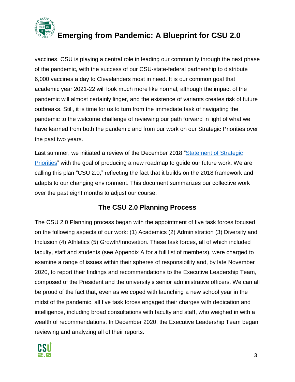

vaccines. CSU is playing a central role in leading our community through the next phase of the pandemic, with the success of our CSU-state-federal partnership to distribute 6,000 vaccines a day to Clevelanders most in need. It is our common goal that academic year 2021-22 will look much more like normal, although the impact of the pandemic will almost certainly linger, and the existence of variants creates risk of future outbreaks. Still, it is time for us to turn from the immediate task of navigating the pandemic to the welcome challenge of reviewing our path forward in light of what we have learned from both the pandemic and from our work on our Strategic Priorities over the past two years.

Last summer, we initiated a review of the December 2018 "Statement of Strategic [Priorities"](https://www.csuohio.edu/sites/default/files/Strategic%20Priorities_R7.pdf) with the goal of producing a new roadmap to guide our future work. We are calling this plan "CSU 2.0," reflecting the fact that it builds on the 2018 framework and adapts to our changing environment. This document summarizes our collective work over the past eight months to adjust our course.

# **The CSU 2.0 Planning Process**

The CSU 2.0 Planning process began with the appointment of five task forces focused on the following aspects of our work: (1) Academics (2) Administration (3) Diversity and Inclusion (4) Athletics (5) Growth/Innovation. These task forces, all of which included faculty, staff and students (see Appendix A for a full list of members), were charged to examine a range of issues within their spheres of responsibility and, by late November 2020, to report their findings and recommendations to the Executive Leadership Team, composed of the President and the university's senior administrative officers. We can all be proud of the fact that, even as we coped with launching a new school year in the midst of the pandemic, all five task forces engaged their charges with dedication and intelligence, including broad consultations with faculty and staff, who weighed in with a wealth of recommendations. In December 2020, the Executive Leadership Team began reviewing and analyzing all of their reports.

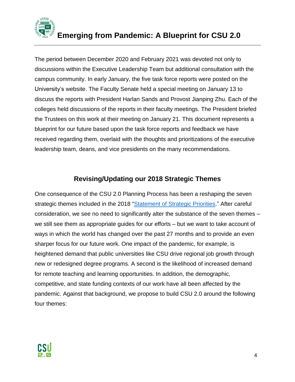

The period between December 2020 and February 2021 was devoted not only to discussions within the Executive Leadership Team but additional consultation with the campus community. In early January, the five task force reports were posted on the University's website. The Faculty Senate held a special meeting on January 13 to discuss the reports with President Harlan Sands and Provost Jianping Zhu. Each of the colleges held discussions of the reports in their faculty meetings. The President briefed the Trustees on this work at their meeting on January 21. This document represents a blueprint for our future based upon the task force reports and feedback we have received regarding them, overlaid with the thoughts and prioritizations of the executive leadership team, deans, and vice presidents on the many recommendations.

# **Revising/Updating our 2018 Strategic Themes**

One consequence of the CSU 2.0 Planning Process has been a reshaping the seven strategic themes included in the 2018 ["Statement of Strategic](https://www.csuohio.edu/sites/default/files/Strategic%20Priorities_R7.pdf) Priorities." After careful consideration, we see no need to significantly alter the substance of the seven themes – we still see them as appropriate guides for our efforts – but we want to take account of ways in which the world has changed over the past 27 months and to provide an even sharper focus for our future work. One impact of the pandemic, for example, is heightened demand that public universities like CSU drive regional job growth through new or redesigned degree programs. A second is the likelihood of increased demand for remote teaching and learning opportunities. In addition, the demographic, competitive, and state funding contexts of our work have all been affected by the pandemic. Against that background, we propose to build CSU 2.0 around the following four themes:

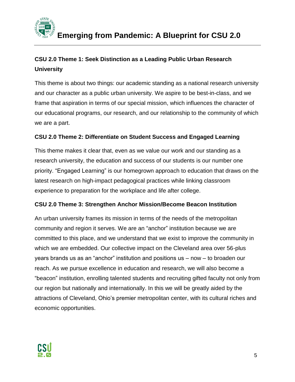

# **CSU 2.0 Theme 1: Seek Distinction as a Leading Public Urban Research University**

This theme is about two things: our academic standing as a national research university and our character as a public urban university. We aspire to be best-in-class, and we frame that aspiration in terms of our special mission, which influences the character of our educational programs, our research, and our relationship to the community of which we are a part.

# **CSU 2.0 Theme 2: Differentiate on Student Success and Engaged Learning**

This theme makes it clear that, even as we value our work and our standing as a research university, the education and success of our students is our number one priority. "Engaged Learning" is our homegrown approach to education that draws on the latest research on high-impact pedagogical practices while linking classroom experience to preparation for the workplace and life after college.

# **CSU 2.0 Theme 3: Strengthen Anchor Mission/Become Beacon Institution**

An urban university frames its mission in terms of the needs of the metropolitan community and region it serves. We are an "anchor" institution because we are committed to this place, and we understand that we exist to improve the community in which we are embedded. Our collective impact on the Cleveland area over 56-plus years brands us as an "anchor" institution and positions us – now – to broaden our reach. As we pursue excellence in education and research, we will also become a "beacon" institution, enrolling talented students and recruiting gifted faculty not only from our region but nationally and internationally. In this we will be greatly aided by the attractions of Cleveland, Ohio's premier metropolitan center, with its cultural riches and economic opportunities.

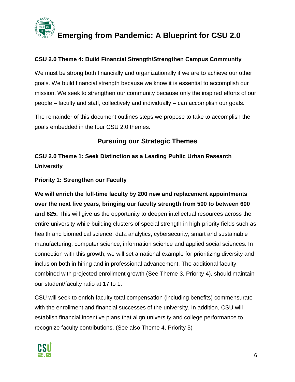

# **CSU 2.0 Theme 4: Build Financial Strength/Strengthen Campus Community**

We must be strong both financially and organizationally if we are to achieve our other goals. We build financial strength because we know it is essential to accomplish our mission. We seek to strengthen our community because only the inspired efforts of our people – faculty and staff, collectively and individually – can accomplish our goals.

The remainder of this document outlines steps we propose to take to accomplish the goals embedded in the four CSU 2.0 themes.

# **Pursuing our Strategic Themes**

**CSU 2.0 Theme 1: Seek Distinction as a Leading Public Urban Research University**

# **Priority 1: Strengthen our Faculty**

**We will enrich the full-time faculty by 200 new and replacement appointments over the next five years, bringing our faculty strength from 500 to between 600 and 625.** This will give us the opportunity to deepen intellectual resources across the entire university while building clusters of special strength in high-priority fields such as health and biomedical science, data analytics, cybersecurity, smart and sustainable manufacturing, computer science, information science and applied social sciences. In connection with this growth, we will set a national example for prioritizing diversity and inclusion both in hiring and in professional advancement. The additional faculty, combined with projected enrollment growth (See Theme 3, Priority 4), should maintain our student/faculty ratio at 17 to 1.

CSU will seek to enrich faculty total compensation (including benefits) commensurate with the enrollment and financial successes of the university. In addition, CSU will establish financial incentive plans that align university and college performance to recognize faculty contributions. (See also Theme 4, Priority 5)

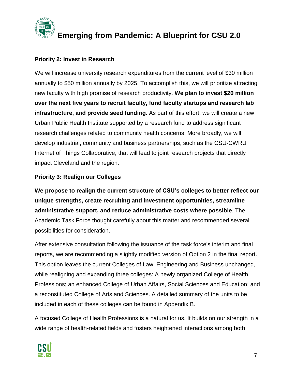

# **Priority 2: Invest in Research**

We will increase university research expenditures from the current level of \$30 million annually to \$50 million annually by 2025. To accomplish this, we will prioritize attracting new faculty with high promise of research productivity. **We plan to invest \$20 million over the next five years to recruit faculty, fund faculty startups and research lab infrastructure, and provide seed funding.** As part of this effort, we will create a new Urban Public Health Institute supported by a research fund to address significant research challenges related to community health concerns. More broadly, we will develop industrial, community and business partnerships, such as the CSU-CWRU Internet of Things Collaborative, that will lead to joint research projects that directly impact Cleveland and the region.

# **Priority 3: Realign our Colleges**

**We propose to realign the current structure of CSU's colleges to better reflect our unique strengths, create recruiting and investment opportunities, streamline administrative support, and reduce administrative costs where possible**. The Academic Task Force thought carefully about this matter and recommended several possibilities for consideration.

After extensive consultation following the issuance of the task force's interim and final reports, we are recommending a slightly modified version of Option 2 in the final report. This option leaves the current Colleges of Law, Engineering and Business unchanged, while realigning and expanding three colleges: A newly organized College of Health Professions; an enhanced College of Urban Affairs, Social Sciences and Education; and a reconstituted College of Arts and Sciences. A detailed summary of the units to be included in each of these colleges can be found in Appendix B.

A focused College of Health Professions is a natural for us. It builds on our strength in a wide range of health-related fields and fosters heightened interactions among both

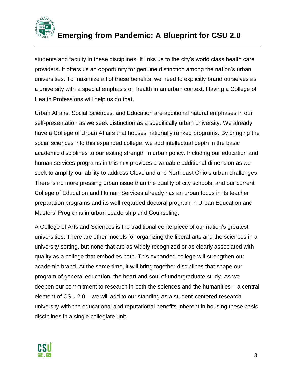

students and faculty in these disciplines. It links us to the city's world class health care providers. It offers us an opportunity for genuine distinction among the nation's urban universities. To maximize all of these benefits, we need to explicitly brand ourselves as a university with a special emphasis on health in an urban context. Having a College of Health Professions will help us do that.

Urban Affairs, Social Sciences, and Education are additional natural emphases in our self-presentation as we seek distinction as a specifically urban university. We already have a College of Urban Affairs that houses nationally ranked programs. By bringing the social sciences into this expanded college, we add intellectual depth in the basic academic disciplines to our exiting strength in urban policy. Including our education and human services programs in this mix provides a valuable additional dimension as we seek to amplify our ability to address Cleveland and Northeast Ohio's urban challenges. There is no more pressing urban issue than the quality of city schools, and our current College of Education and Human Services already has an urban focus in its teacher preparation programs and its well-regarded doctoral program in Urban Education and Masters' Programs in urban Leadership and Counseling.

A College of Arts and Sciences is the traditional centerpiece of our nation's greatest universities. There are other models for organizing the liberal arts and the sciences in a university setting, but none that are as widely recognized or as clearly associated with quality as a college that embodies both. This expanded college will strengthen our academic brand. At the same time, it will bring together disciplines that shape our program of general education, the heart and soul of undergraduate study. As we deepen our commitment to research in both the sciences and the humanities – a central element of CSU 2.0 – we will add to our standing as a student-centered research university with the educational and reputational benefits inherent in housing these basic disciplines in a single collegiate unit.

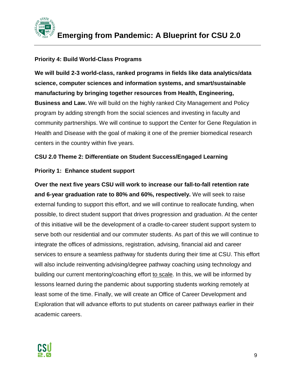

#### **Priority 4: Build World-Class Programs**

**We will build 2-3 world-class, ranked programs in fields like data analytics/data science, computer sciences and information systems, and smart/sustainable manufacturing by bringing together resources from Health, Engineering, Business and Law.** We will build on the highly ranked City Management and Policy program by adding strength from the social sciences and investing in faculty and community partnerships. We will continue to support the Center for Gene Regulation in Health and Disease with the goal of making it one of the premier biomedical research centers in the country within five years.

#### **CSU 2.0 Theme 2: Differentiate on Student Success/Engaged Learning**

#### **Priority 1: Enhance student support**

**Over the next five years CSU will work to increase our fall-to-fall retention rate and 6-year graduation rate to 80% and 60%, respectively.** We will seek to raise external funding to support this effort, and we will continue to reallocate funding, when possible, to direct student support that drives progression and graduation. At the center of this initiative will be the development of a cradle-to-career student support system to serve both our residential and our commuter students. As part of this we will continue to integrate the offices of admissions, registration, advising, financial aid and career services to ensure a seamless pathway for students during their time at CSU. This effort will also include reinventing advising/degree pathway coaching using technology and building our current mentoring/coaching effort to scale. In this, we will be informed by lessons learned during the pandemic about supporting students working remotely at least some of the time. Finally, we will create an Office of Career Development and Exploration that will advance efforts to put students on career pathways earlier in their academic careers.

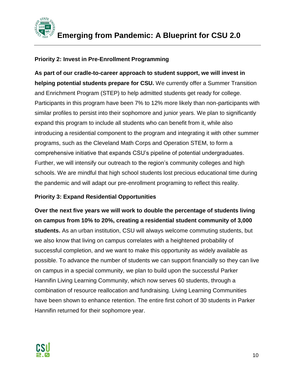

# **Priority 2: Invest in Pre-Enrollment Programming**

**As part of our cradle-to-career approach to student support, we will invest in helping potential students prepare for CSU.** We currently offer a Summer Transition and Enrichment Program (STEP) to help admitted students get ready for college. Participants in this program have been 7% to 12% more likely than non-participants with similar profiles to persist into their sophomore and junior years. We plan to significantly expand this program to include all students who can benefit from it, while also introducing a residential component to the program and integrating it with other summer programs, such as the Cleveland Math Corps and Operation STEM, to form a comprehensive initiative that expands CSU's pipeline of potential undergraduates. Further, we will intensify our outreach to the region's community colleges and high schools. We are mindful that high school students lost precious educational time during the pandemic and will adapt our pre-enrollment programing to reflect this reality.

#### **Priority 3: Expand Residential Opportunities**

**Over the next five years we will work to double the percentage of students living on campus from 10% to 20%, creating a residential student community of 3,000 students.** As an urban institution, CSU will always welcome commuting students, but we also know that living on campus correlates with a heightened probability of successful completion, and we want to make this opportunity as widely available as possible. To advance the number of students we can support financially so they can live on campus in a special community, we plan to build upon the successful Parker Hannifin Living Learning Community, which now serves 60 students, through a combination of resource reallocation and fundraising. Living Learning Communities have been shown to enhance retention. The entire first cohort of 30 students in Parker Hannifin returned for their sophomore year.

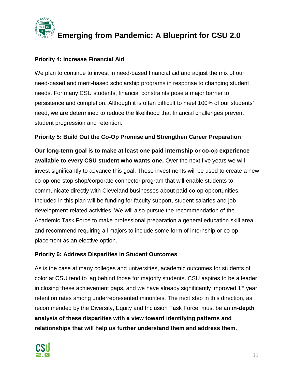

# **Priority 4: Increase Financial Aid**

We plan to continue to invest in need-based financial aid and adjust the mix of our need-based and merit-based scholarship programs in response to changing student needs. For many CSU students, financial constraints pose a major barrier to persistence and completion. Although it is often difficult to meet 100% of our students' need, we are determined to reduce the likelihood that financial challenges prevent student progression and retention.

#### **Priority 5: Build Out the Co-Op Promise and Strengthen Career Preparation**

**Our long-term goal is to make at least one paid internship or co-op experience available to every CSU student who wants one.** Over the next five years we will invest significantly to advance this goal. These investments will be used to create a new co-op one-stop shop/corporate connector program that will enable students to communicate directly with Cleveland businesses about paid co-op opportunities. Included in this plan will be funding for faculty support, student salaries and job development-related activities. We will also pursue the recommendation of the Academic Task Force to make professional preparation a general education skill area and recommend requiring all majors to include some form of internship or co-op placement as an elective option.

#### **Priority 6: Address Disparities in Student Outcomes**

As is the case at many colleges and universities, academic outcomes for students of color at CSU tend to lag behind those for majority students. CSU aspires to be a leader in closing these achievement gaps, and we have already significantly improved  $1<sup>st</sup>$  year retention rates among underrepresented minorities. The next step in this direction, as recommended by the Diversity, Equity and Inclusion Task Force, must be an **in-depth analysis of these disparities with a view toward identifying patterns and relationships that will help us further understand them and address them.** 

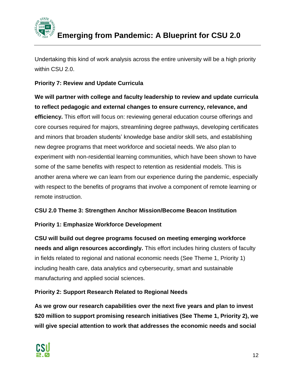

Undertaking this kind of work analysis across the entire university will be a high priority within CSU 2.0.

# **Priority 7: Review and Update Curricula**

**We will partner with college and faculty leadership to review and update curricula to reflect pedagogic and external changes to ensure currency, relevance, and efficiency.** This effort will focus on: reviewing general education course offerings and core courses required for majors, streamlining degree pathways, developing certificates and minors that broaden students' knowledge base and/or skill sets, and establishing new degree programs that meet workforce and societal needs. We also plan to experiment with non-residential learning communities, which have been shown to have some of the same benefits with respect to retention as residential models. This is another arena where we can learn from our experience during the pandemic, especially with respect to the benefits of programs that involve a component of remote learning or remote instruction.

# **CSU 2.0 Theme 3: Strengthen Anchor Mission/Become Beacon Institution**

# **Priority 1: Emphasize Workforce Development**

**CSU will build out degree programs focused on meeting emerging workforce needs and align resources accordingly.** This effort includes hiring clusters of faculty in fields related to regional and national economic needs (See Theme 1, Priority 1) including health care, data analytics and cybersecurity, smart and sustainable manufacturing and applied social sciences.

# **Priority 2: Support Research Related to Regional Needs**

**As we grow our research capabilities over the next five years and plan to invest \$20 million to support promising research initiatives (See Theme 1, Priority 2), we will give special attention to work that addresses the economic needs and social** 

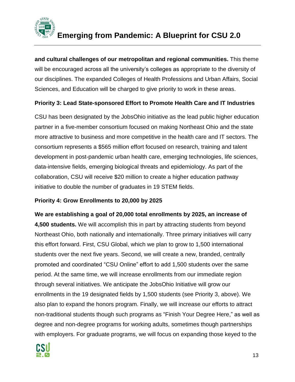

**and cultural challenges of our metropolitan and regional communities.** This theme will be encouraged across all the university's colleges as appropriate to the diversity of our disciplines. The expanded Colleges of Health Professions and Urban Affairs, Social Sciences, and Education will be charged to give priority to work in these areas.

# **Priority 3: Lead State-sponsored Effort to Promote Health Care and IT Industries**

CSU has been designated by the JobsOhio initiative as the lead public higher education partner in a five-member consortium focused on making Northeast Ohio and the state more attractive to business and more competitive in the health care and IT sectors. The consortium represents a \$565 million effort focused on research, training and talent development in post-pandemic urban health care, emerging technologies, life sciences, data-intensive fields, emerging biological threats and epidemiology. As part of the collaboration, CSU will receive \$20 million to create a higher education pathway initiative to double the number of graduates in 19 STEM fields.

#### **Priority 4: Grow Enrollments to 20,000 by 2025**

**We are establishing a goal of 20,000 total enrollments by 2025, an increase of 4,500 students.** We will accomplish this in part by attracting students from beyond Northeast Ohio, both nationally and internationally. Three primary initiatives will carry this effort forward. First, CSU Global, which we plan to grow to 1,500 international students over the next five years. Second, we will create a new, branded, centrally promoted and coordinated "CSU Online" effort to add 1,500 students over the same period. At the same time, we will increase enrollments from our immediate region through several initiatives. We anticipate the JobsOhio Initiative will grow our enrollments in the 19 designated fields by 1,500 students (see Priority 3, above). We also plan to expand the honors program. Finally, we will increase our efforts to attract non-traditional students though such programs as "Finish Your Degree Here," as well as degree and non-degree programs for working adults, sometimes though partnerships with employers. For graduate programs, we will focus on expanding those keyed to the

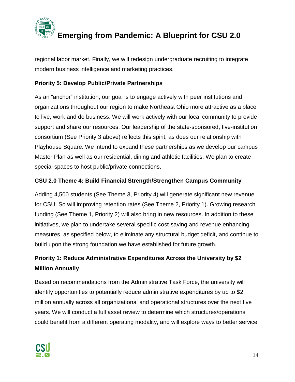

regional labor market. Finally, we will redesign undergraduate recruiting to integrate modern business intelligence and marketing practices.

# **Priority 5: Develop Public/Private Partnerships**

As an "anchor" institution, our goal is to engage actively with peer institutions and organizations throughout our region to make Northeast Ohio more attractive as a place to live, work and do business. We will work actively with our local community to provide support and share our resources. Our leadership of the state-sponsored, five-institution consortium (See Priority 3 above) reflects this spirit, as does our relationship with Playhouse Square. We intend to expand these partnerships as we develop our campus Master Plan as well as our residential, dining and athletic facilities. We plan to create special spaces to host public/private connections.

# **CSU 2.0 Theme 4: Build Financial Strength/Strengthen Campus Community**

Adding 4,500 students (See Theme 3, Priority 4) will generate significant new revenue for CSU. So will improving retention rates (See Theme 2, Priority 1). Growing research funding (See Theme 1, Priority 2) will also bring in new resources. In addition to these initiatives, we plan to undertake several specific cost-saving and revenue enhancing measures, as specified below, to eliminate any structural budget deficit, and continue to build upon the strong foundation we have established for future growth.

# **Priority 1: Reduce Administrative Expenditures Across the University by \$2 Million Annually**

Based on recommendations from the Administrative Task Force, the university will identify opportunities to potentially reduce administrative expenditures by up to \$2 million annually across all organizational and operational structures over the next five years. We will conduct a full asset review to determine which structures/operations could benefit from a different operating modality, and will explore ways to better service

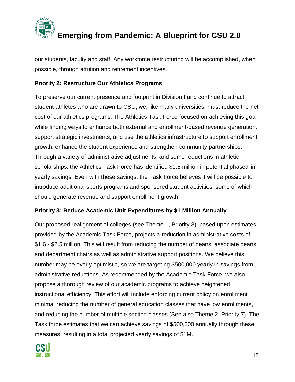

our students, faculty and staff. Any workforce restructuring will be accomplished, when possible, through attrition and retirement incentives.

# **Priority 2: Restructure Our Athletics Programs**

To preserve our current presence and footprint in Division I and continue to attract student-athletes who are drawn to CSU, we, like many universities, must reduce the net cost of our athletics programs. The Athletics Task Force focused on achieving this goal while finding ways to enhance both external and enrollment-based revenue generation, support strategic investments, and use the athletics infrastructure to support enrollment growth, enhance the student experience and strengthen community partnerships. Through a variety of administrative adjustments, and some reductions in athletic scholarships, the Athletics Task Force has identified \$1.5 million in potential phased-in yearly savings. Even with these savings, the Task Force believes it will be possible to introduce additional sports programs and sponsored student activities, some of which should generate revenue and support enrollment growth.

#### **Priority 3: Reduce Academic Unit Expenditures by \$1 Million Annually**

Our proposed realignment of colleges (see Theme 1, Priority 3), based upon estimates provided by the Academic Task Force, projects a reduction in administrative costs of \$1.6 - \$2.5 million. This will result from reducing the number of deans, associate deans and department chairs as well as administrative support positions. We believe this number may be overly optimistic, so we are targeting \$500,000 yearly in savings from administrative reductions. As recommended by the Academic Task Force, we also propose a thorough review of our academic programs to achieve heightened instructional efficiency. This effort will include enforcing current policy on enrollment minima, reducing the number of general education classes that have low enrollments, and reducing the number of multiple section classes (See also Theme 2, Priority 7). The Task force estimates that we can achieve savings of \$500,000 annually through these measures, resulting in a total projected yearly savings of \$1M.

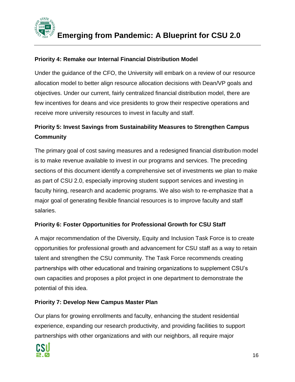

# **Priority 4: Remake our Internal Financial Distribution Model**

Under the guidance of the CFO, the University will embark on a review of our resource allocation model to better align resource allocation decisions with Dean/VP goals and objectives. Under our current, fairly centralized financial distribution model, there are few incentives for deans and vice presidents to grow their respective operations and receive more university resources to invest in faculty and staff.

# **Priority 5: Invest Savings from Sustainability Measures to Strengthen Campus Community**

The primary goal of cost saving measures and a redesigned financial distribution model is to make revenue available to invest in our programs and services. The preceding sections of this document identify a comprehensive set of investments we plan to make as part of CSU 2.0, especially improving student support services and investing in faculty hiring, research and academic programs. We also wish to re-emphasize that a major goal of generating flexible financial resources is to improve faculty and staff salaries.

# **Priority 6: Foster Opportunities for Professional Growth for CSU Staff**

A major recommendation of the Diversity, Equity and Inclusion Task Force is to create opportunities for professional growth and advancement for CSU staff as a way to retain talent and strengthen the CSU community. The Task Force recommends creating partnerships with other educational and training organizations to supplement CSU's own capacities and proposes a pilot project in one department to demonstrate the potential of this idea.

# **Priority 7: Develop New Campus Master Plan**

Our plans for growing enrollments and faculty, enhancing the student residential experience, expanding our research productivity, and providing facilities to support partnerships with other organizations and with our neighbors, all require major

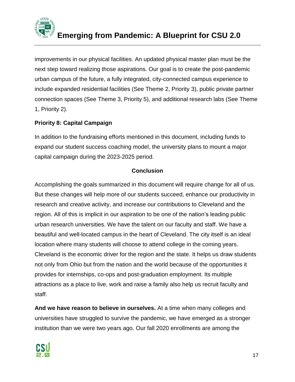

improvements in our physical facilities. An updated physical master plan must be the next step toward realizing those aspirations. Our goal is to create the post-pandemic urban campus of the future, a fully integrated, city-connected campus experience to include expanded residential facilities (See Theme 2, Priority 3), public private partner connection spaces (See Theme 3, Priority 5), and additional research labs (See Theme 1, Priority 2).

# **Priority 8: Capital Campaign**

In addition to the fundraising efforts mentioned in this document, including funds to expand our student success coaching model, the university plans to mount a major capital campaign during the 2023-2025 period.

# **Conclusion**

Accomplishing the goals summarized in this document will require change for all of us. But these changes will help more of our students succeed, enhance our productivity in research and creative activity, and increase our contributions to Cleveland and the region. All of this is implicit in our aspiration to be one of the nation's leading public urban research universities. We have the talent on our faculty and staff. We have a beautiful and well-located campus in the heart of Cleveland. The city itself is an ideal location where many students will choose to attend college in the coming years. Cleveland is the economic driver for the region and the state. It helps us draw students not only from Ohio but from the nation and the world because of the opportunities it provides for internships, co-ops and post-graduation employment. Its multiple attractions as a place to live, work and raise a family also help us recruit faculty and staff.

**And we have reason to believe in ourselves.** At a time when many colleges and universities have struggled to survive the pandemic, we have emerged as a stronger institution than we were two years ago. Our fall 2020 enrollments are among the

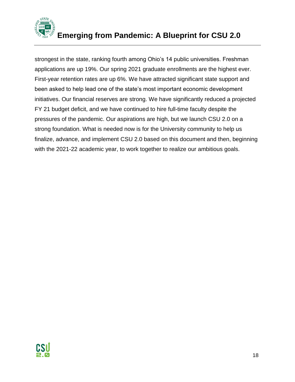

strongest in the state, ranking fourth among Ohio's 14 public universities. Freshman applications are up 19%. Our spring 2021 graduate enrollments are the highest ever. First-year retention rates are up 6%. We have attracted significant state support and been asked to help lead one of the state's most important economic development initiatives. Our financial reserves are strong. We have significantly reduced a projected FY 21 budget deficit, and we have continued to hire full-time faculty despite the pressures of the pandemic. Our aspirations are high, but we launch CSU 2.0 on a strong foundation. What is needed now is for the University community to help us finalize, advance, and implement CSU 2.0 based on this document and then, beginning with the 2021-22 academic year, to work together to realize our ambitious goals.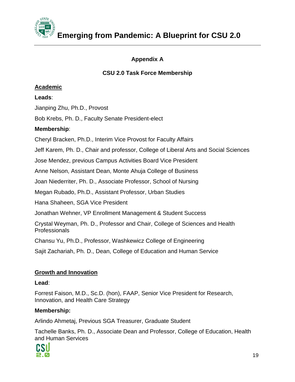

# **Appendix A**

# **CSU 2.0 Task Force Membership**

#### **Academic**

**Leads**:

Jianping Zhu, Ph.D., Provost

Bob Krebs, Ph. D., Faculty Senate President-elect

# **Membership**:

Cheryl Bracken, Ph.D., Interim Vice Provost for Faculty Affairs

Jeff Karem, Ph. D., Chair and professor, College of Liberal Arts and Social Sciences

Jose Mendez, previous Campus Activities Board Vice President

Anne Nelson, Assistant Dean, Monte Ahuja College of Business

Joan Niederriter, Ph. D., Associate Professor, School of Nursing

Megan Rubado, Ph.D., Assistant Professor, Urban Studies

Hana Shaheen, SGA Vice President

Jonathan Wehner, VP Enrollment Management & Student Success

Crystal Weyman, Ph. D., Professor and Chair, College of Sciences and Health **Professionals** 

Chansu Yu, Ph.D., Professor, Washkewicz College of Engineering

Sajit Zachariah, Ph. D., Dean, College of Education and Human Service

# **Growth and Innovation**

#### **Lead**:

Forrest Faison, M.D., Sc.D. (hon), FAAP, Senior Vice President for Research, Innovation, and Health Care Strategy

# **Membership:**

Arlindo Ahmetaj, Previous SGA Treasurer, Graduate Student

Tachelle Banks, Ph. D., Associate Dean and Professor, College of Education, Health and Human Services

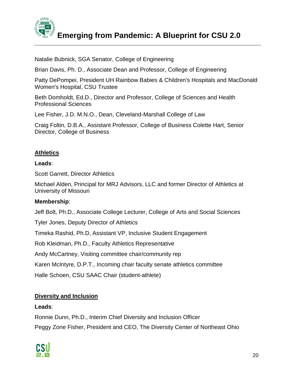

Natalie Bubnick, SGA Senator, College of Engineering

Brian Davis, Ph. D., Associate Dean and Professor, College of Engineering

Patty DePompei, President UH Rainbow Babies & Children's Hospitals and MacDonald Women's Hospital, CSU Trustee

Beth Domholdt, Ed.D., Director and Professor, College of Sciences and Health Professional Sciences

Lee Fisher, J.D. M.N.O., Dean, Cleveland-Marshall College of Law

Craig Foltin, D.B.A., Assistant Professor, College of Business Colette Hart, Senior Director, College of Business

# **Athletics**

#### **Leads**:

Scott Garrett, Director Athletics

Michael Alden, Principal for MRJ Advisors, LLC and former Director of Athletics at University of Missouri

#### **Membership**:

Jeff Bolt, Ph.D., Associate College Lecturer, College of Arts and Social Sciences

Tyler Jones, Deputy Director of Athletics

Timeka Rashid, Ph.D, Assistant VP, Inclusive Student Engagement

Rob Kleidman, Ph.D., Faculty Athletics Representative

Andy McCartney, Visiting committee chair/community rep

Karen McIntyre, D.P.T., Incoming chair faculty senate athletics committee

Halle Schoen, CSU SAAC Chair (student-athlete)

#### **Diversity and Inclusion**

#### **Leads**:

Ronnie Dunn, Ph.D., Interim Chief Diversity and Inclusion Officer Peggy Zone Fisher, President and CEO, The Diversity Center of Northeast Ohio

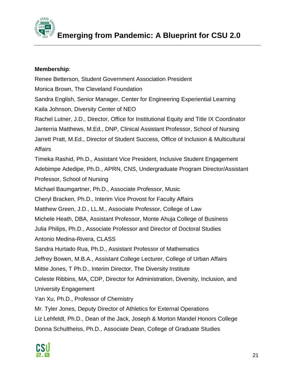

#### **Membership**:

Renee Betterson, Student Government Association President Monica Brown, The Cleveland Foundation Sandra English, Senior Manager, Center for Engineering Experiential Learning Kaila Johnson, Diversity Center of NEO Rachel Lutner, J.D., Director, Office for Institutional Equity and Title IX Coordinator Janterria Matthews, M.Ed., DNP, Clinical Assistant Professor, School of Nursing Jarrett Pratt, M.Ed., Director of Student Success, Office of Inclusion & Multicultural **Affairs** Timeka Rashid, Ph.D., Assistant Vice President, Inclusive Student Engagement Adebimpe Adedipe, Ph.D., APRN, CNS, Undergraduate Program Director/Assistant Professor, School of Nursing Michael Baumgartner, Ph.D., Associate Professor, Music Cheryl Bracken, Ph.D., Interim Vice Provost for Faculty Affairs Matthew Green, J.D., LL.M., Associate Professor, College of Law Michele Heath, DBA, Assistant Professor, Monte Ahuja College of Business Julia Philips, Ph.D., Associate Professor and Director of Doctoral Studies Antonio Medina-Rivera, CLASS Sandra Hurtado Rua, Ph.D., Assistant Professor of Mathematics Jeffrey Bowen, M.B.A., Assistant College Lecturer, College of Urban Affairs Mittie Jones, T Ph.D., Interim Director, The Diversity Institute Celeste Ribbins, MA, CDP, Director for Administration, Diversity, Inclusion, and University Engagement Yan Xu, Ph.D., Professor of Chemistry Mr. Tyler Jones, Deputy Director of Athletics for External Operations Liz Lehfeldt, Ph.D., Dean of the Jack, Joseph & Morton Mandel Honors College Donna Schultheiss, Ph.D., Associate Dean, College of Graduate Studies

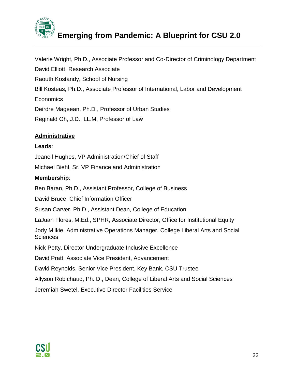

Valerie Wright, Ph.D., Associate Professor and Co-Director of Criminology Department David Elliott, Research Associate Raouth Kostandy, School of Nursing Bill Kosteas, Ph.D., Associate Professor of International, Labor and Development Economics Deirdre Mageean, Ph.D., Professor of Urban Studies Reginald Oh, J.D., LL.M, Professor of Law

#### **Administrative**

#### **Leads**:

Jeanell Hughes, VP Administration/Chief of Staff

Michael Biehl, Sr. VP Finance and Administration

#### **Membership**:

Ben Baran, Ph.D., Assistant Professor, College of Business

David Bruce, Chief Information Officer

Susan Carver, Ph.D., Assistant Dean, College of Education

LaJuan Flores, M.Ed., SPHR, Associate Director, Office for Institutional Equity

Jody Milkie, Administrative Operations Manager, College Liberal Arts and Social **Sciences** 

Nick Petty, Director Undergraduate Inclusive Excellence

David Pratt, Associate Vice President, Advancement

David Reynolds, Senior Vice President, Key Bank, CSU Trustee

Allyson Robichaud, Ph. D., Dean, College of Liberal Arts and Social Sciences

Jeremiah Swetel, Executive Director Facilities Service